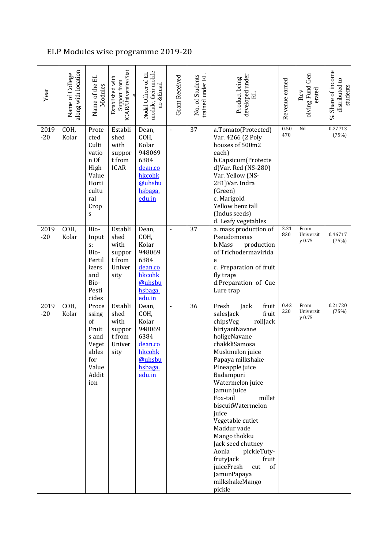## ELP Modules wise programme 2019-20

| Year          | along with location<br>Name of College | Name of the EL<br>Modules                                                                      | ICAR/University/Stat<br>Established with<br>Support from      | module, their mobile<br>Nodal Officer of EL<br>no &Email                                     | <b>Grant Received</b> | trained under EL<br>No. of Students | developed under<br>Product being<br>님                                                                                                                                                                                                                                                                                                                                                                                                                                             | Revenue earned | olving Fund Gen<br>erated<br>Rev | Share of income<br>distributed to<br>students<br>$\frac{8}{2}$ |
|---------------|----------------------------------------|------------------------------------------------------------------------------------------------|---------------------------------------------------------------|----------------------------------------------------------------------------------------------|-----------------------|-------------------------------------|-----------------------------------------------------------------------------------------------------------------------------------------------------------------------------------------------------------------------------------------------------------------------------------------------------------------------------------------------------------------------------------------------------------------------------------------------------------------------------------|----------------|----------------------------------|----------------------------------------------------------------|
| 2019<br>$-20$ | COH,<br>Kolar                          | Prote<br>cted<br>Culti<br>vatio<br>n Of<br>High<br>Value<br>Horti<br>cultu<br>ral<br>Crop<br>S | Establi<br>shed<br>with<br>suppor<br>t from<br><b>ICAR</b>    | Dean,<br>COH,<br>Kolar<br>948069<br>6384<br>dean.co<br>hkcohk<br>@uhsbu<br>hsbaga.<br>edu.in | $\blacksquare$        | 37                                  | a.Tomato(Protected)<br>Var. 4266 (2 Poly<br>houses of 500m2<br>each)<br>b.Capsicum(Protecte<br>d)Var. Red (NS-280)<br>Var. Yellow (NS-<br>281) Var. Indra<br>(Green)<br>c. Marigold<br>Yellow benz tall<br>(Indus seeds)<br>d. Leafy vegetables                                                                                                                                                                                                                                   | 0.50<br>470    | Nil                              | 0.27713<br>(75%)                                               |
| 2019<br>$-20$ | COH,<br>Kolar                          | Bio-<br>Input<br>$S$ :<br>Bio-<br>Fertil<br>izers<br>and<br>Bio-<br>Pesti<br>cides             | Establi<br>shed<br>with<br>suppor<br>t from<br>Univer<br>sity | Dean,<br>COH,<br>Kolar<br>948069<br>6384<br>dean.co<br>hkcohk<br>@uhsbu<br>hsbaga.<br>edu.in | $\blacksquare$        | 37                                  | a. mass production of<br>Pseudomonas<br>b.Mass<br>production<br>of Trichodermavirida<br>e<br>c. Preparation of fruit<br>fly traps<br>d.Preparation of Cue<br>Lure trap                                                                                                                                                                                                                                                                                                            | 2.21<br>830    | From<br>Universit<br>y 0.75      | 0.46717<br>(75%)                                               |
| 2019<br>$-20$ | COH,<br>Kolar                          | Proce<br>ssing<br>of<br>Fruit<br>s and<br>Veget<br>ables<br>for<br>Value<br>Addit<br>ion       | Establi<br>shed<br>with<br>suppor<br>t from<br>Univer<br>sity | Dean,<br>COH,<br>Kolar<br>948069<br>6384<br>dean.co<br>hkcohk<br>@uhsbu<br>hsbaga.<br>edu.in | $\blacksquare$        | 36                                  | Fresh<br>Jack<br>fruit<br>fruit<br>salesJack<br>chipsVeg<br>rollJack<br>biriyaniNavane<br>holigeNavane<br>chakkliSamosa<br>Muskmelon juice<br>Papaya milkshake<br>Pineapple juice<br>Badampuri<br>Watermelon juice<br>Jamun juice<br>Fox-tail<br>millet<br>biscuitWatermelon<br>juice<br>Vegetable cutlet<br>Maddur vade<br>Mango thokku<br>Jack seed chutney<br>Aonla<br>pickleTuty-<br>frutyJack<br>fruit<br>juiceFresh<br>cut<br>of<br>JamunPapaya<br>milkshakeMango<br>pickle | 0.42<br>220    | From<br>Universit<br>y 0.75      | 0.21720<br>(75%)                                               |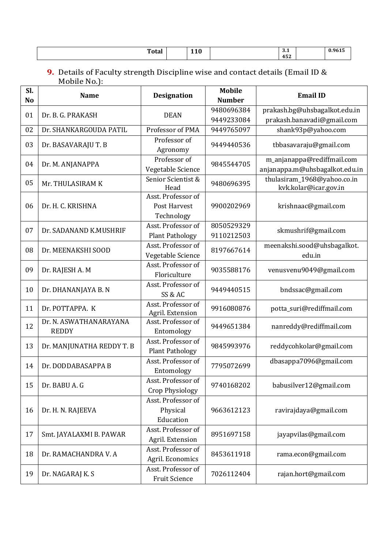| <b>Total</b> | . .<br>$- - -$ | $\sim$<br>3.1<br>457<br>TJL | - - -<br>$\mathbf{0}$<br>. |
|--------------|----------------|-----------------------------|----------------------------|
|--------------|----------------|-----------------------------|----------------------------|

## **9.** Details of Faculty strength Discipline wise and contact details (Email ID & Mobile No.):

| Sl.            | <b>Name</b>               | <b>Designation</b>                     | <b>Mobile</b> | <b>Email ID</b>                                      |  |
|----------------|---------------------------|----------------------------------------|---------------|------------------------------------------------------|--|
| N <sub>o</sub> |                           |                                        | <b>Number</b> |                                                      |  |
| 01             | Dr. B. G. PRAKASH         | <b>DEAN</b>                            | 9480696384    | prakash.bg@uhsbagalkot.edu.in                        |  |
|                |                           |                                        | 9449233084    | prakash.banavadi@gmail.com                           |  |
| 02             | Dr. SHANKARGOUDA PATIL    | Professor of PMA                       | 9449765097    | shank93p@yahoo.com                                   |  |
| 03             | Dr. BASAVARAJU T. B       | Professor of<br>Agronomy               | 9449440536    | tbbasavaraju@gmail.com                               |  |
| 04             | Dr. M. ANJANAPPA          | Professor of                           | 9845544705    | m_anjanappa@rediffmail.com                           |  |
|                |                           | Vegetable Science                      |               | anjanappa.m@uhsbagalkot.edu.in                       |  |
| 05             | Mr. THULASIRAM K          | Senior Scientist &<br>Head             | 9480696395    | thulasiram_1968@yahoo.co.in<br>kvk.kolar@icar.gov.in |  |
|                |                           | Asst. Professor of                     |               | krishnaac@gmail.com                                  |  |
| 06             | Dr. H. C. KRISHNA         | Post Harvest                           | 9900202969    |                                                      |  |
|                |                           | Technology                             |               |                                                      |  |
| 07             | Dr. SADANAND K.MUSHRIF    | Asst. Professor of                     | 8050529329    | skmushrif@gmail.com                                  |  |
|                |                           | <b>Plant Pathology</b>                 | 9110212503    |                                                      |  |
| 08             | Dr. MEENAKSHI SOOD        | Asst. Professor of                     | 8197667614    | meenakshi.sood@uhsbagalkot.<br>edu.in                |  |
|                |                           | Vegetable Science                      |               |                                                      |  |
| 09             | Dr. RAJESH A. M           | Asst. Professor of                     | 9035588176    | venusvenu9049@gmail.com                              |  |
|                |                           | Floriculture                           |               |                                                      |  |
| 10             | Dr. DHANANJAYA B. N       | Asst. Professor of                     | 9449440515    | bndssac@gmail.com                                    |  |
|                |                           | SS & AC                                |               |                                                      |  |
| 11             | Dr. POTTAPPA. K           | Asst. Professor of<br>Agril. Extension | 9916080876    | potta_suri@rediffmail.com                            |  |
| 12             | Dr. N. ASWATHANARAYANA    | Asst. Professor of                     | 9449651384    | nanreddy@rediffmail.com                              |  |
|                | <b>REDDY</b>              | Entomology                             |               |                                                      |  |
| 13             | Dr. MANJUNATHA REDDY T. B | Asst. Professor of                     | 9845993976    | reddycohkolar@gmail.com                              |  |
|                |                           | <b>Plant Pathology</b>                 |               |                                                      |  |
| 14             | Dr. DODDABASAPPA B        | Asst. Professor of                     | 7795072699    | dbasappa7096@gmail.com                               |  |
|                |                           | Entomology                             |               |                                                      |  |
| 15             | Dr. BABU A. G             | Asst. Professor of                     | 9740168202    | babusilver12@gmail.com                               |  |
|                |                           | <b>Crop Physiology</b>                 |               |                                                      |  |
|                |                           | Asst. Professor of                     |               | ravirajdaya@gmail.com                                |  |
| 16             | Dr. H. N. RAJEEVA         | Physical                               | 9663612123    |                                                      |  |
|                |                           | Education                              |               |                                                      |  |
| 17             | Smt. JAYALAXMI B. PAWAR   | Asst. Professor of                     | 8951697158    | jayapvilas@gmail.com                                 |  |
|                |                           | Agril. Extension                       |               |                                                      |  |
| 18             | Dr. RAMACHANDRA V. A      | Asst. Professor of                     | 8453611918    | rama.econ@gmail.com                                  |  |
|                |                           | Agril. Economics                       |               |                                                      |  |
| 19             | Dr. NAGARAJ K. S          | Asst. Professor of                     | 7026112404    | rajan.hort@gmail.com                                 |  |
|                |                           | <b>Fruit Science</b>                   |               |                                                      |  |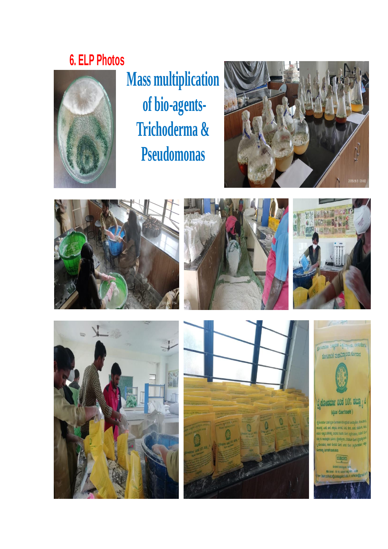## **6. ELP Photos**



**Mass multiplication of bio-agents-Trichoderma & Pseudomonas**













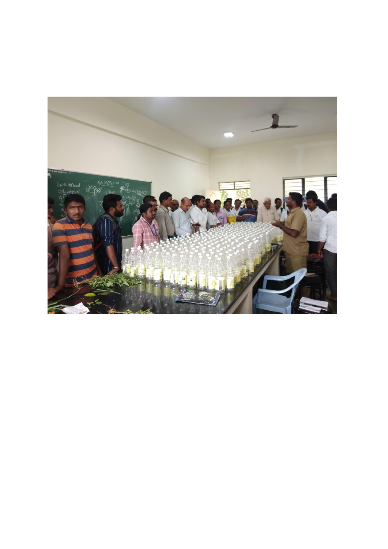